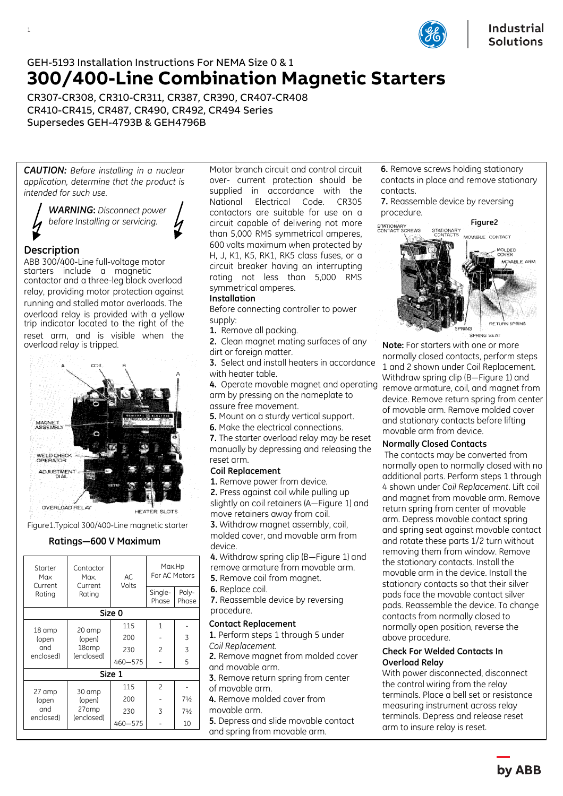

# GEH-5193 Installation Instructions For NEMA Size 0 & 1 **300/400-Line Combination Magnetic Starters**

CR307-CR308, CR310-CR311, CR387, CR390, CR407-CR408 CR410-CR415, CR487, CR490, CR492, CR494 Series Supersedes GEH-4793B & GEH4796B

*CAUTION: Before installing in a nuclear application, determine that the product is intended for such use.*

> *WARNING***:** *Disconnect power before Installing or servicing.*

# **Description**

1

ABB 300/400-Line full-voltage motor starters include a magnetic contactor and a three-leg block overload relay, providing motor protection against running and stalled motor overloads. The overload relay is provided with a yellow trip indicator located to the right of the reset arm, and is visible when the overload relay is tripped.





# **Ratings—600 V Maximum**

| Starter<br>Max<br>Current<br>Rating | Contactor<br>Max.<br>Current<br>Rating  | AC.<br>Volts | Max.Hp<br>For AC Motors |                |  |  |
|-------------------------------------|-----------------------------------------|--------------|-------------------------|----------------|--|--|
|                                     |                                         |              | Single-<br>Phase        | Poly-<br>Phase |  |  |
|                                     |                                         | Size 0       |                         |                |  |  |
| 18 amp<br>(open<br>and<br>enclosed) | 20 amp<br>(open)<br>18amp<br>(enclosed) | 115          | $\mathbf{1}$            |                |  |  |
|                                     |                                         | 200          |                         | 3              |  |  |
|                                     |                                         | 230          | $\overline{c}$          | 3              |  |  |
|                                     |                                         | 460-575      |                         | 5              |  |  |
|                                     |                                         | Size 1       |                         |                |  |  |
| 27 amp<br>(open<br>and<br>enclosed) | 30 amp<br>(open)<br>27amp<br>(enclosed) | 115          | $\mathcal{P}$           |                |  |  |
|                                     |                                         | 200          |                         | 71/2           |  |  |
|                                     |                                         | 230          | 3                       | $7\frac{1}{2}$ |  |  |
|                                     |                                         | 460-575      |                         | 10             |  |  |

Motor branch circuit and control circuit over- current protection should be supplied in accordance with the National Electrical Code. CR305 contactors are suitable for use on a circuit capable of delivering not more than 5,000 RMS symmetrical amperes, 600 volts maximum when protected by H, J, K1, K5, RK1, RK5 class fuses, or a circuit breaker having an interrupting rating not less than 5,000 RMS symmetrical amperes.

# **Installation**

Before connecting controller to power supply:

**1.** Remove all packing.

**2.** Clean magnet mating surfaces of any dirt or foreign matter.

**3.** Select and install heaters in accordance with heater table.

**4.** Operate movable magnet and operating arm by pressing on the nameplate to assure free movement.

**5.** Mount on a sturdy vertical support.

**6.** Make the electrical connections.

**7.** The starter overload relay may be reset manually by depressing and releasing the reset arm.

## **Coil Replacement**

**1.** Remove power from device.

**2.** Press against coil while pulling up slightly on coil retainers (A—Figure 1) and move retainers away from coil.

**3.** Withdraw magnet assembly, coil, molded cover, and movable arm from device.

**4.** Withdraw spring clip (B—Figure 1) and remove armature from movable arm. **5.** Remove coil from magnet.

- 
- **6.** Replace coil.

**7.** Reassemble device by reversing procedure.

#### **Contact Replacement**

**1.** Perform steps 1 through 5 under *Coil Replacement.*

**2.** Remove magnet from molded cover and movable arm.

**3.** Remove return spring from center of movable arm.

**4.** Remove molded cover from

movable arm.

**5.** Depress and slide movable contact and spring from movable arm.

**6.** Remove screws holding stationary contacts in place and remove stationary contacts. **7.** Reassemble device by reversing

procedure.



**Note:** For starters with one or more normally closed contacts, perform steps 1 and 2 shown under Coil Replacement. Withdraw spring clip (B—Figure 1) and remove armature, coil, and magnet from device. Remove return spring from center of movable arm. Remove molded cover and stationary contacts before lifting movable arm from device.

## **Normally Closed Contacts**

 The contacts may be converted from normally open to normally closed with no additional parts. Perform steps 1 through 4 shown under *Coil Replacement*. Lift coil and magnet from movable arm. Remove return spring from center of movable arm. Depress movable contact spring and spring seat against movable contact and rotate these parts 1/2 turn without removing them from window. Remove the stationary contacts. Install the movable arm in the device. Install the stationary contacts so that their silver pads face the movable contact silver pads. Reassemble the device. To change contacts from normally closed to normally open position, reverse the above procedure.

## **Check For Welded Contacts In Overload Relay**

With power disconnected, disconnect the control wiring from the relay terminals. Place a bell set or resistance measuring instrument across relay terminals. Depress and release reset arm to insure relay is reset.